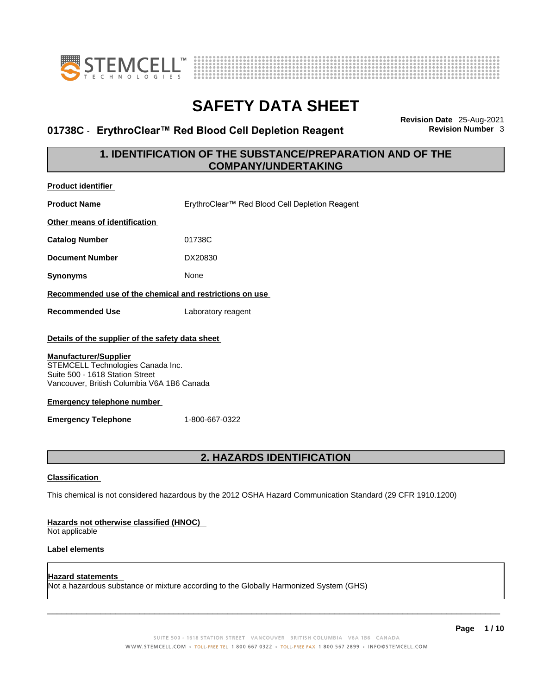



### **01738C ⋅ ErythroClear™ Red Blood Cell Depletion Reagent**

**Revision Date** 25-Aug-2021

### **1. IDENTIFICATION OF THE SUBSTANCE/PREPARATION AND OF THE COMPANY/UNDERTAKING**

| Product identifier                                                                                                                                                                                                                                                        |                                                                                                             |
|---------------------------------------------------------------------------------------------------------------------------------------------------------------------------------------------------------------------------------------------------------------------------|-------------------------------------------------------------------------------------------------------------|
| <b>Product Name</b>                                                                                                                                                                                                                                                       | ErythroClear™ Red Blood Cell Depletion Reagent                                                              |
| Other means of identification                                                                                                                                                                                                                                             |                                                                                                             |
| <b>Catalog Number</b>                                                                                                                                                                                                                                                     | 01738C                                                                                                      |
| <b>Document Number</b>                                                                                                                                                                                                                                                    | DX20830                                                                                                     |
| <b>Synonyms</b>                                                                                                                                                                                                                                                           | None                                                                                                        |
| Recommended use of the chemical and restrictions on use                                                                                                                                                                                                                   |                                                                                                             |
| <b>Recommended Use</b>                                                                                                                                                                                                                                                    | Laboratory reagent                                                                                          |
| Details of the supplier of the safety data sheet<br><b>Manufacturer/Supplier</b><br>STEMCELL Technologies Canada Inc.<br>Suite 500 - 1618 Station Street<br>Vancouver, British Columbia V6A 1B6 Canada<br><b>Emergency telephone number</b><br><b>Emergency Telephone</b> | 1-800-667-0322                                                                                              |
|                                                                                                                                                                                                                                                                           | 2. HAZARDS IDENTIFICATION                                                                                   |
| <b>Classification</b><br>Hazards not otherwise classified (HNOC)<br>Not applicable<br>Label elements                                                                                                                                                                      | This chemical is not considered hazardous by the 2012 OSHA Hazard Communication Standard (29 CFR 1910.1200) |
| Hazard statements                                                                                                                                                                                                                                                         |                                                                                                             |

**Hazard statements**  Not a hazardous substance or mixture according to the Globally Harmonized System (GHS)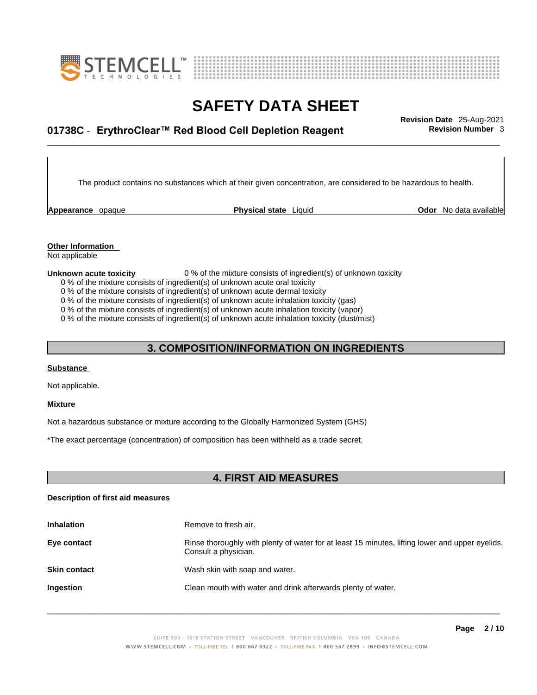



## \_\_\_\_\_\_\_\_\_\_\_\_\_\_\_\_\_\_\_\_\_\_\_\_\_\_\_\_\_\_\_\_\_\_\_\_\_\_\_\_\_\_\_\_\_\_\_\_\_\_\_\_\_\_\_\_\_\_\_\_\_\_\_\_\_\_\_\_\_\_\_\_\_\_\_\_\_\_\_\_\_\_\_\_\_\_\_\_\_\_\_\_\_ **Revision Date** 25-Aug-2021 **01738C** - **ErythroClear™ Red Blood Cell Depletion Reagent Revision Number** 3

The product contains no substances which at their given concentration, are considered to be hazardous to health.

**Appearance** opaque **Physical state** Liquid

**Odor** No data available

**Other Information** 

Not applicable

#### **Unknown acute toxicity** 0 % of the mixture consists of ingredient(s) of unknown toxicity

0 % of the mixture consists of ingredient(s) of unknown acute oral toxicity

0 % of the mixture consists of ingredient(s) of unknown acute dermal toxicity

0 % of the mixture consists of ingredient(s) of unknown acute inhalation toxicity (gas)

0 % of the mixture consists of ingredient(s) of unknown acute inhalation toxicity (vapor)

0 % of the mixture consists of ingredient(s) of unknown acute inhalation toxicity (dust/mist)

### **3. COMPOSITION/INFORMATION ON INGREDIENTS**

### **Substance**

Not applicable.

#### **Mixture**

Not a hazardous substance or mixture according to the Globally Harmonized System (GHS)

\*The exact percentage (concentration) of composition has been withheld as a trade secret.

### **4. FIRST AID MEASURES**

#### **Description of first aid measures**

| <b>Inhalation</b>   | Remove to fresh air.                                                                                                    |
|---------------------|-------------------------------------------------------------------------------------------------------------------------|
| Eye contact         | Rinse thoroughly with plenty of water for at least 15 minutes, lifting lower and upper eyelids.<br>Consult a physician. |
| <b>Skin contact</b> | Wash skin with soap and water.                                                                                          |
| Ingestion           | Clean mouth with water and drink afterwards plenty of water.                                                            |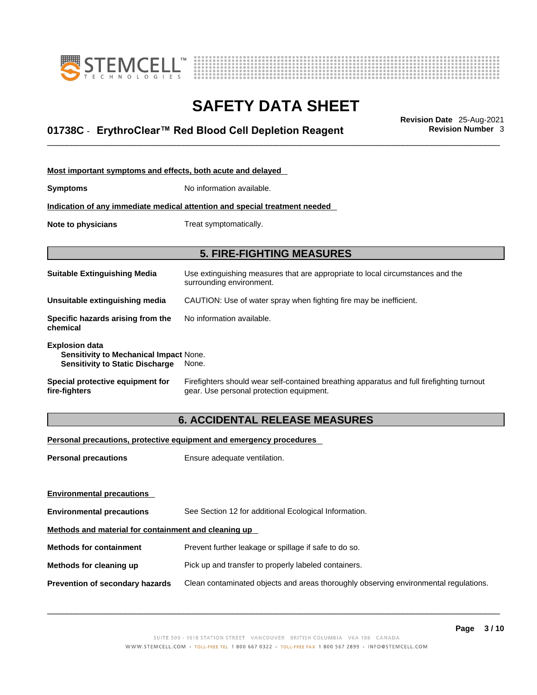



## \_\_\_\_\_\_\_\_\_\_\_\_\_\_\_\_\_\_\_\_\_\_\_\_\_\_\_\_\_\_\_\_\_\_\_\_\_\_\_\_\_\_\_\_\_\_\_\_\_\_\_\_\_\_\_\_\_\_\_\_\_\_\_\_\_\_\_\_\_\_\_\_\_\_\_\_\_\_\_\_\_\_\_\_\_\_\_\_\_\_\_\_\_ **Revision Date** 25-Aug-2021 **01738C** - **ErythroClear™ Red Blood Cell Depletion Reagent Revision Number** 3

| Most important symptoms and effects, both acute and delayed                                                      |                                                                                                                                       |  |
|------------------------------------------------------------------------------------------------------------------|---------------------------------------------------------------------------------------------------------------------------------------|--|
| <b>Symptoms</b>                                                                                                  | No information available.                                                                                                             |  |
|                                                                                                                  | Indication of any immediate medical attention and special treatment needed                                                            |  |
| Note to physicians                                                                                               | Treat symptomatically.                                                                                                                |  |
|                                                                                                                  |                                                                                                                                       |  |
|                                                                                                                  | <b>5. FIRE-FIGHTING MEASURES</b>                                                                                                      |  |
| <b>Suitable Extinguishing Media</b>                                                                              | Use extinguishing measures that are appropriate to local circumstances and the<br>surrounding environment.                            |  |
| Unsuitable extinguishing media                                                                                   | CAUTION: Use of water spray when fighting fire may be inefficient.                                                                    |  |
| Specific hazards arising from the<br>chemical                                                                    | No information available.                                                                                                             |  |
| <b>Explosion data</b><br><b>Sensitivity to Mechanical Impact None.</b><br><b>Sensitivity to Static Discharge</b> | None.                                                                                                                                 |  |
| Special protective equipment for<br>fire-fighters                                                                | Firefighters should wear self-contained breathing apparatus and full firefighting turnout<br>gear. Use personal protection equipment. |  |

### **6. ACCIDENTAL RELEASE MEASURES**

### **Personal precautions, protective equipment and emergency procedures**

| <b>Personal precautions</b>                          | Ensure adequate ventilation.                                                         |  |
|------------------------------------------------------|--------------------------------------------------------------------------------------|--|
| <b>Environmental precautions</b>                     |                                                                                      |  |
| <b>Environmental precautions</b>                     | See Section 12 for additional Ecological Information.                                |  |
| Methods and material for containment and cleaning up |                                                                                      |  |
| <b>Methods for containment</b>                       | Prevent further leakage or spillage if safe to do so.                                |  |
| Methods for cleaning up                              | Pick up and transfer to properly labeled containers.                                 |  |
| <b>Prevention of secondary hazards</b>               | Clean contaminated objects and areas thoroughly observing environmental regulations. |  |
|                                                      |                                                                                      |  |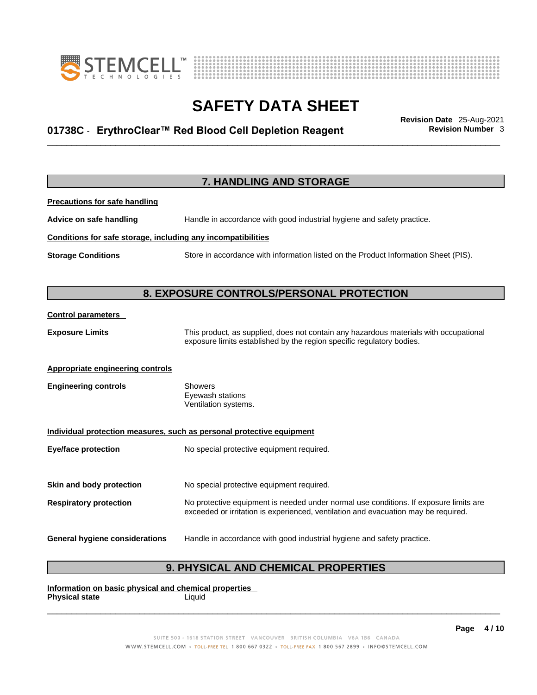



## \_\_\_\_\_\_\_\_\_\_\_\_\_\_\_\_\_\_\_\_\_\_\_\_\_\_\_\_\_\_\_\_\_\_\_\_\_\_\_\_\_\_\_\_\_\_\_\_\_\_\_\_\_\_\_\_\_\_\_\_\_\_\_\_\_\_\_\_\_\_\_\_\_\_\_\_\_\_\_\_\_\_\_\_\_\_\_\_\_\_\_\_\_ **Revision Date** 25-Aug-2021 **01738C** - **ErythroClear™ Red Blood Cell Depletion Reagent Revision Number** 3

|                                                              | 7. HANDLING AND STORAGE                                                                                                                                                     |
|--------------------------------------------------------------|-----------------------------------------------------------------------------------------------------------------------------------------------------------------------------|
| <b>Precautions for safe handling</b>                         |                                                                                                                                                                             |
| Advice on safe handling                                      | Handle in accordance with good industrial hygiene and safety practice.                                                                                                      |
| Conditions for safe storage, including any incompatibilities |                                                                                                                                                                             |
| <b>Storage Conditions</b>                                    | Store in accordance with information listed on the Product Information Sheet (PIS).                                                                                         |
|                                                              | 8. EXPOSURE CONTROLS/PERSONAL PROTECTION                                                                                                                                    |
| <b>Control parameters</b>                                    |                                                                                                                                                                             |
| <b>Exposure Limits</b>                                       | This product, as supplied, does not contain any hazardous materials with occupational<br>exposure limits established by the region specific regulatory bodies.              |
| <b>Appropriate engineering controls</b>                      |                                                                                                                                                                             |
| <b>Engineering controls</b>                                  | <b>Showers</b><br>Eyewash stations<br>Ventilation systems.                                                                                                                  |
|                                                              | Individual protection measures, such as personal protective equipment                                                                                                       |
| <b>Eye/face protection</b>                                   | No special protective equipment required.                                                                                                                                   |
| Skin and body protection                                     | No special protective equipment required.                                                                                                                                   |
| <b>Respiratory protection</b>                                | No protective equipment is needed under normal use conditions. If exposure limits are<br>exceeded or irritation is experienced, ventilation and evacuation may be required. |
| <b>General hygiene considerations</b>                        | Handle in accordance with good industrial hygiene and safety practice.                                                                                                      |

### **9. PHYSICAL AND CHEMICAL PROPERTIES**

**Information on basic physical and chemical properties Physical state** Liquid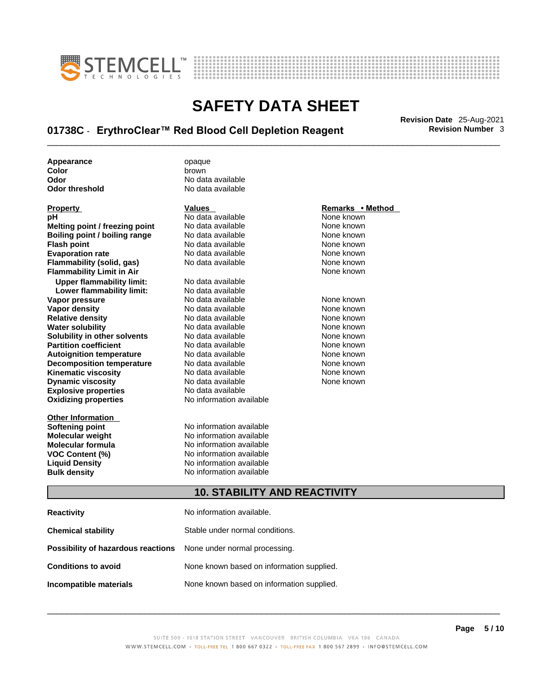



## \_\_\_\_\_\_\_\_\_\_\_\_\_\_\_\_\_\_\_\_\_\_\_\_\_\_\_\_\_\_\_\_\_\_\_\_\_\_\_\_\_\_\_\_\_\_\_\_\_\_\_\_\_\_\_\_\_\_\_\_\_\_\_\_\_\_\_\_\_\_\_\_\_\_\_\_\_\_\_\_\_\_\_\_\_\_\_\_\_\_\_\_\_ **Revision Date** 25-Aug-2021 **01738C** - **ErythroClear™ Red Blood Cell Depletion Reagent Revision Number** 3

**Appearance** opaque **color**<br> **Color** brown

**Explosive properties**<br> **Oxidizing properties**<br> **Oxidizing properties**<br> **No information available Oxidizing properties Property CONSCRUTE ACCORDING METHOD Values <b>CONSCRUTE ACCORDING METHOD METHOD METHOD VALUES Property Remarks** • **Method pH** No data available None known **Melting point / freezing point** No data available None known<br> **Rojling point / bojling range** No data available None Known None known **Boiling point / boiling range** No data available None known<br> **Flash point** None known<br>
No data available None Known None known **Flash point** No data available **Evaporation rate Cone Cone Access Mone Cone Cone Cone Access Provident Cone Cone Access Provident Cone known<br>
<b>Flammability (solid. gas)** No data available Cone Cone Known **Flammability (solid, gas)** No data available None known **Flammability Limit in Air None known None known Upper flammability limit:** No data available **Lower flammability limit:** No data available **Vapor pressure** 1980 in the Modata available 1980 in the Known None known<br> **Vapor density** 1980 in the None Known None known None known **Vapor density** No data available None known **Relative density Water solubility** No data available None known **Solubility in other solvents** No data available None known **Partition coefficient**<br> **Autoignition temperature**<br>
No data available None None known<br>
None known **Autoignition temperature** Mo data available Mone known<br> **Decomposition temperature** No data available None Known **Decomposition temperature** No data available<br> **Kinematic viscosity** No data available **Kinematic viscosity No data available None known**<br> **Discussible No data available None known**<br>
None known **Dynamic viscosity No data available None known** 

**Other Information** 

**Color** brown **Odor No data available**<br> **Odor threshold No data available** No data available

**Softening point**<br> **Molecular weight**<br> **Molecular weight**<br> **Molecular weight**<br> **Molecular weight No information available Molecular formula** No information available **VOC Content (%)** No information available **Liquid Density** No information available **Bulk density No information available** 

### **10. STABILITY AND REACTIVITY**

| <b>Reactivity</b>                                                       | No information available.                 |
|-------------------------------------------------------------------------|-------------------------------------------|
| <b>Chemical stability</b>                                               | Stable under normal conditions.           |
| <b>Possibility of hazardous reactions</b> None under normal processing. |                                           |
| <b>Conditions to avoid</b>                                              | None known based on information supplied. |
| Incompatible materials                                                  | None known based on information supplied. |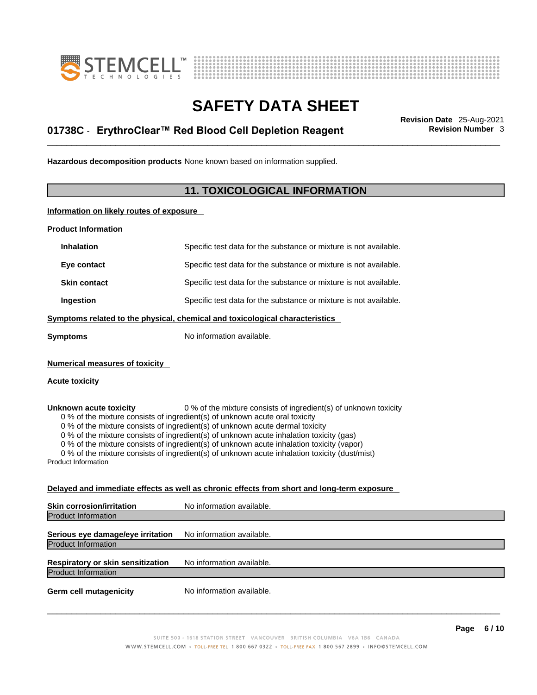



## \_\_\_\_\_\_\_\_\_\_\_\_\_\_\_\_\_\_\_\_\_\_\_\_\_\_\_\_\_\_\_\_\_\_\_\_\_\_\_\_\_\_\_\_\_\_\_\_\_\_\_\_\_\_\_\_\_\_\_\_\_\_\_\_\_\_\_\_\_\_\_\_\_\_\_\_\_\_\_\_\_\_\_\_\_\_\_\_\_\_\_\_\_ **Revision Date** 25-Aug-2021 **01738C** - **ErythroClear™ Red Blood Cell Depletion Reagent Revision Number** 3

**Hazardous decomposition products** None known based on information supplied.

### **11. TOXICOLOGICAL INFORMATION**

**Information on likely routes of exposure**

**Product Information**

| <b>Inhalation</b>                                                                                                                                                                                                                                                                                                                                                                                                                                                                                                                                                                 | Specific test data for the substance or mixture is not available.                          |  |
|-----------------------------------------------------------------------------------------------------------------------------------------------------------------------------------------------------------------------------------------------------------------------------------------------------------------------------------------------------------------------------------------------------------------------------------------------------------------------------------------------------------------------------------------------------------------------------------|--------------------------------------------------------------------------------------------|--|
| Eye contact                                                                                                                                                                                                                                                                                                                                                                                                                                                                                                                                                                       | Specific test data for the substance or mixture is not available.                          |  |
| <b>Skin contact</b>                                                                                                                                                                                                                                                                                                                                                                                                                                                                                                                                                               | Specific test data for the substance or mixture is not available.                          |  |
| Ingestion                                                                                                                                                                                                                                                                                                                                                                                                                                                                                                                                                                         | Specific test data for the substance or mixture is not available.                          |  |
|                                                                                                                                                                                                                                                                                                                                                                                                                                                                                                                                                                                   | Symptoms related to the physical, chemical and toxicological characteristics               |  |
| <b>Symptoms</b>                                                                                                                                                                                                                                                                                                                                                                                                                                                                                                                                                                   | No information available.                                                                  |  |
| <b>Numerical measures of toxicity</b>                                                                                                                                                                                                                                                                                                                                                                                                                                                                                                                                             |                                                                                            |  |
| <b>Acute toxicity</b>                                                                                                                                                                                                                                                                                                                                                                                                                                                                                                                                                             |                                                                                            |  |
| 0 % of the mixture consists of ingredient(s) of unknown toxicity<br>Unknown acute toxicity<br>0 % of the mixture consists of ingredient(s) of unknown acute oral toxicity<br>0 % of the mixture consists of ingredient(s) of unknown acute dermal toxicity<br>0 % of the mixture consists of ingredient(s) of unknown acute inhalation toxicity (gas)<br>0 % of the mixture consists of ingredient(s) of unknown acute inhalation toxicity (vapor)<br>0 % of the mixture consists of ingredient(s) of unknown acute inhalation toxicity (dust/mist)<br><b>Product Information</b> |                                                                                            |  |
|                                                                                                                                                                                                                                                                                                                                                                                                                                                                                                                                                                                   | Delayed and immediate effects as well as chronic effects from short and long-term exposure |  |
| <b>Skin corrosion/irritation</b>                                                                                                                                                                                                                                                                                                                                                                                                                                                                                                                                                  | No information available.                                                                  |  |
| <b>Product Information</b>                                                                                                                                                                                                                                                                                                                                                                                                                                                                                                                                                        |                                                                                            |  |

**Serious eye damage/eye irritation** No information available. Product Information

**Respiratory or skin sensitization** No information available. Product Information

**Germ cell mutagenicity** No information available.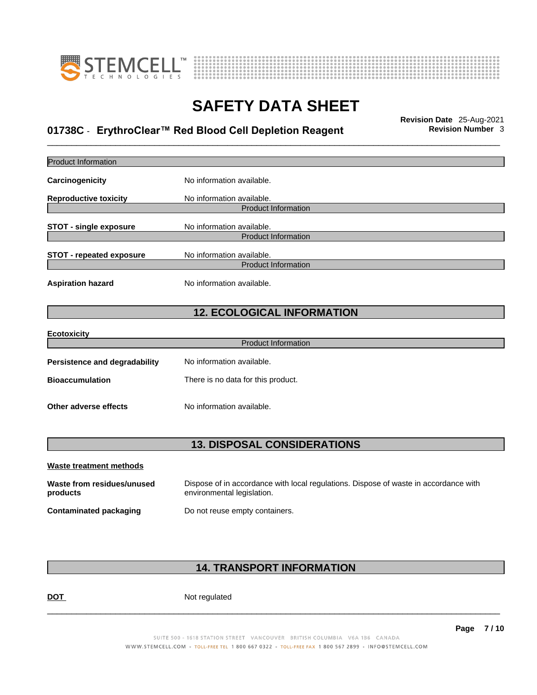



## \_\_\_\_\_\_\_\_\_\_\_\_\_\_\_\_\_\_\_\_\_\_\_\_\_\_\_\_\_\_\_\_\_\_\_\_\_\_\_\_\_\_\_\_\_\_\_\_\_\_\_\_\_\_\_\_\_\_\_\_\_\_\_\_\_\_\_\_\_\_\_\_\_\_\_\_\_\_\_\_\_\_\_\_\_\_\_\_\_\_\_\_\_ **Revision Date** 25-Aug-2021 **01738C** - **ErythroClear™ Red Blood Cell Depletion Reagent Revision Number** 3

| <b>Product Information</b>             |                                                                                      |
|----------------------------------------|--------------------------------------------------------------------------------------|
| Carcinogenicity                        | No information available.                                                            |
| <b>Reproductive toxicity</b>           | No information available.                                                            |
|                                        | <b>Product Information</b>                                                           |
| <b>STOT - single exposure</b>          | No information available.                                                            |
|                                        | <b>Product Information</b>                                                           |
| <b>STOT - repeated exposure</b>        | No information available.                                                            |
|                                        | <b>Product Information</b>                                                           |
| <b>Aspiration hazard</b>               | No information available.                                                            |
|                                        | <b>12. ECOLOGICAL INFORMATION</b>                                                    |
| <b>Ecotoxicity</b>                     |                                                                                      |
|                                        | <b>Product Information</b>                                                           |
| <b>Persistence and degradability</b>   | No information available.                                                            |
| <b>Bioaccumulation</b>                 | There is no data for this product.                                                   |
| Other adverse effects                  | No information available.                                                            |
|                                        |                                                                                      |
|                                        | <b>13. DISPOSAL CONSIDERATIONS</b>                                                   |
| <b>Waste treatment methods</b>         |                                                                                      |
|                                        | Dispose of in accordance with local regulations. Dispose of waste in accordance with |
| Waste from residues/unused<br>products | environmental legislation.                                                           |

### **14. TRANSPORT INFORMATION**

DOT Not regulated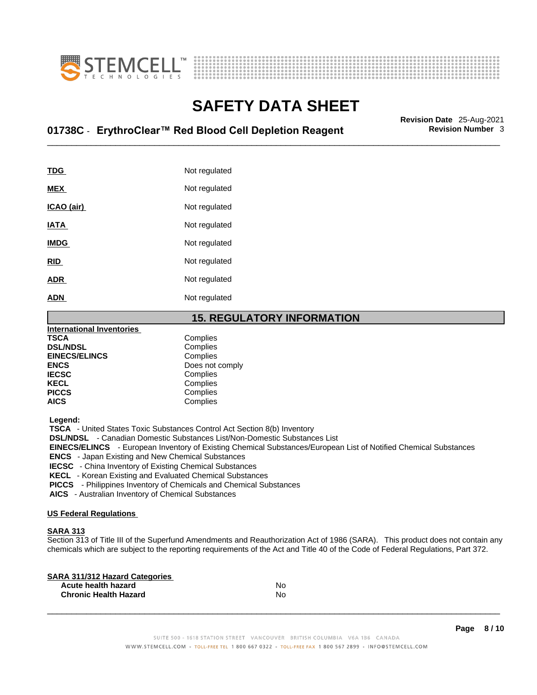



## \_\_\_\_\_\_\_\_\_\_\_\_\_\_\_\_\_\_\_\_\_\_\_\_\_\_\_\_\_\_\_\_\_\_\_\_\_\_\_\_\_\_\_\_\_\_\_\_\_\_\_\_\_\_\_\_\_\_\_\_\_\_\_\_\_\_\_\_\_\_\_\_\_\_\_\_\_\_\_\_\_\_\_\_\_\_\_\_\_\_\_\_\_ **Revision Date** 25-Aug-2021 **01738C** - **ErythroClear™ Red Blood Cell Depletion Reagent Revision Number** 3

| <b>TDG</b>  | Not regulated |
|-------------|---------------|
| <b>MEX</b>  | Not regulated |
| ICAO (air)  | Not regulated |
| <b>IATA</b> | Not regulated |
| <b>IMDG</b> | Not regulated |
| <b>RID</b>  | Not regulated |
| <b>ADR</b>  | Not regulated |
| <b>ADN</b>  | Not regulated |

### **15. REGULATORY INFORMATION**

| <b>International Inventories</b> |                 |  |
|----------------------------------|-----------------|--|
| <b>TSCA</b>                      | Complies        |  |
| <b>DSL/NDSL</b>                  | Complies        |  |
| <b>EINECS/ELINCS</b>             | Complies        |  |
| <b>ENCS</b>                      | Does not comply |  |
| <b>IECSC</b>                     | Complies        |  |
| <b>KECL</b>                      | Complies        |  |
| <b>PICCS</b>                     | Complies        |  |
| <b>AICS</b>                      | Complies        |  |

 **Legend:** 

 **TSCA** - United States Toxic Substances Control Act Section 8(b) Inventory

 **DSL/NDSL** - Canadian Domestic Substances List/Non-Domestic Substances List

 **EINECS/ELINCS** - European Inventory of Existing Chemical Substances/European List of Notified Chemical Substances

 **ENCS** - Japan Existing and New Chemical Substances

 **IECSC** - China Inventory of Existing Chemical Substances

 **KECL** - Korean Existing and Evaluated Chemical Substances

 **PICCS** - Philippines Inventory of Chemicals and Chemical Substances

 **AICS** - Australian Inventory of Chemical Substances

#### **US Federal Regulations**

#### **SARA 313**

Section 313 of Title III of the Superfund Amendments and Reauthorization Act of 1986 (SARA). This product does not contain any chemicals which are subject to the reporting requirements of the Act and Title 40 of the Code of Federal Regulations, Part 372.

| No |  |
|----|--|
| No |  |
|    |  |

**Page 8 / 10**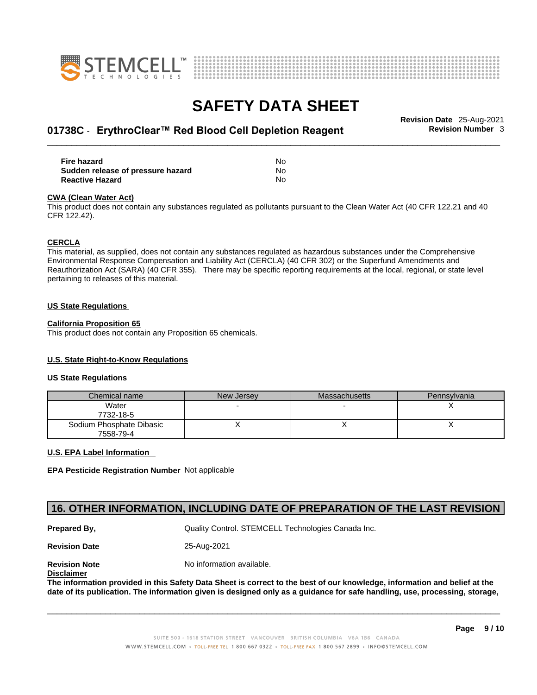



## \_\_\_\_\_\_\_\_\_\_\_\_\_\_\_\_\_\_\_\_\_\_\_\_\_\_\_\_\_\_\_\_\_\_\_\_\_\_\_\_\_\_\_\_\_\_\_\_\_\_\_\_\_\_\_\_\_\_\_\_\_\_\_\_\_\_\_\_\_\_\_\_\_\_\_\_\_\_\_\_\_\_\_\_\_\_\_\_\_\_\_\_\_ **Revision Date** 25-Aug-2021 **01738C** - **ErythroClear™ Red Blood Cell Depletion Reagent Revision Number** 3

| <b>Fire hazard</b>                | No  |
|-----------------------------------|-----|
| Sudden release of pressure hazard | No. |
| <b>Reactive Hazard</b>            | No. |

#### **CWA** (Clean Water Act)

This product does not contain any substances regulated as pollutants pursuant to the Clean Water Act (40 CFR 122.21 and 40 CFR 122.42).

#### **CERCLA**

This material, as supplied, does not contain any substances regulated as hazardous substances under the Comprehensive Environmental Response Compensation and Liability Act (CERCLA) (40 CFR 302) or the Superfund Amendments and Reauthorization Act (SARA) (40 CFR 355). There may be specific reporting requirements at the local, regional, or state level pertaining to releases of this material.

#### **US State Regulations**

#### **California Proposition 65**

This product does not contain any Proposition 65 chemicals.

#### **U.S. State Right-to-Know Regulations**

#### **US State Regulations**

| Chemical name                         | New Jersey | Massachusetts | Pennsylvania |
|---------------------------------------|------------|---------------|--------------|
| Water<br>7732-18-5                    |            |               |              |
| Sodium Phosphate Dibasic<br>7558-79-4 |            |               |              |

#### **U.S. EPA Label Information**

**EPA Pesticide Registration Number** Not applicable

### **16. OTHER INFORMATION, INCLUDING DATE OF PREPARATION OF THE LAST REVISION**

**Prepared By, State Control. STEMCELL Technologies Canada Inc.** Canada Inc.

**Revision Date** 25-Aug-2021

**Disclaimer**

**Revision Note** Noinformation available.

The information provided in this Safety Data Sheet is correct to the best of our knowledge, information and belief at the date of its publication. The information given is designed only as a guidance for safe handling, use, processing, storage,